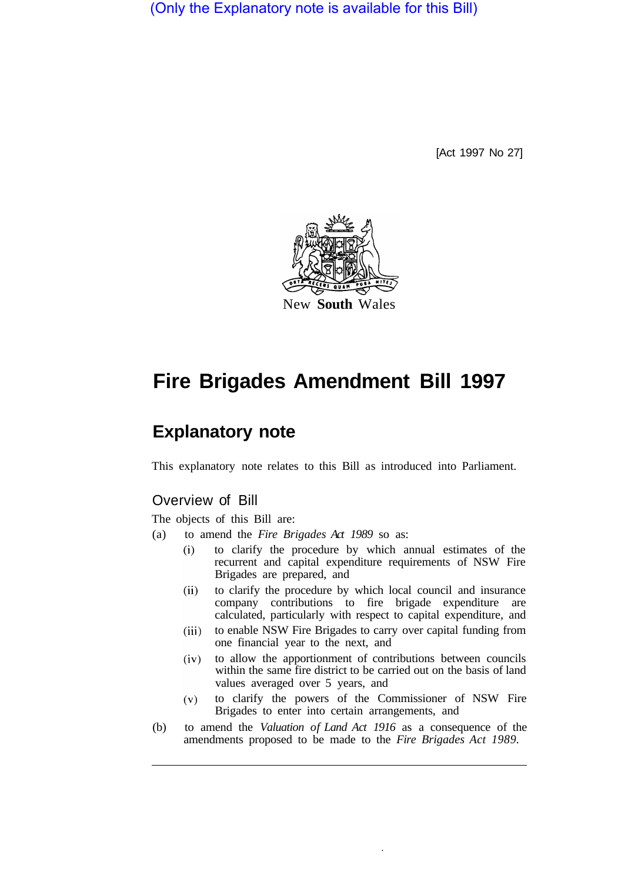(Only the Explanatory note is available for this Bill)

[Act 1997 No 27]



# **Fire Brigades Amendment Bill 1997**

## **Explanatory note**

This explanatory note relates to this Bill as introduced into Parliament.

## Overview of Bill

The objects of this Bill are:

- (a) to amend the *Fire Brigades Act 1989* so as:
	- to clarify the procedure by which annual estimates of the  $(i)$ recurrent and capital expenditure requirements of NSW Fire Brigades are prepared, and
	- to clarify the procedure by which local council and insurance  $(ii)$ company contributions to fire brigade expenditure are calculated, particularly with respect to capital expenditure, and
	- to enable NSW Fire Brigades to carry over capital funding from  $(iii)$ one financial year to the next, and
	- to allow the apportionment of contributions between councils  $(iv)$ within the same fire district to be carried out on the basis of land values averaged over 5 years, and
	- to clarify the powers of the Commissioner of NSW Fire  $(v)$ Brigades to enter into certain arrangements, and
- (b) to amend the *Valuation of Land Act 1916* as a consequence of the amendments proposed to be made to the *Fire Brigades Act 1989.*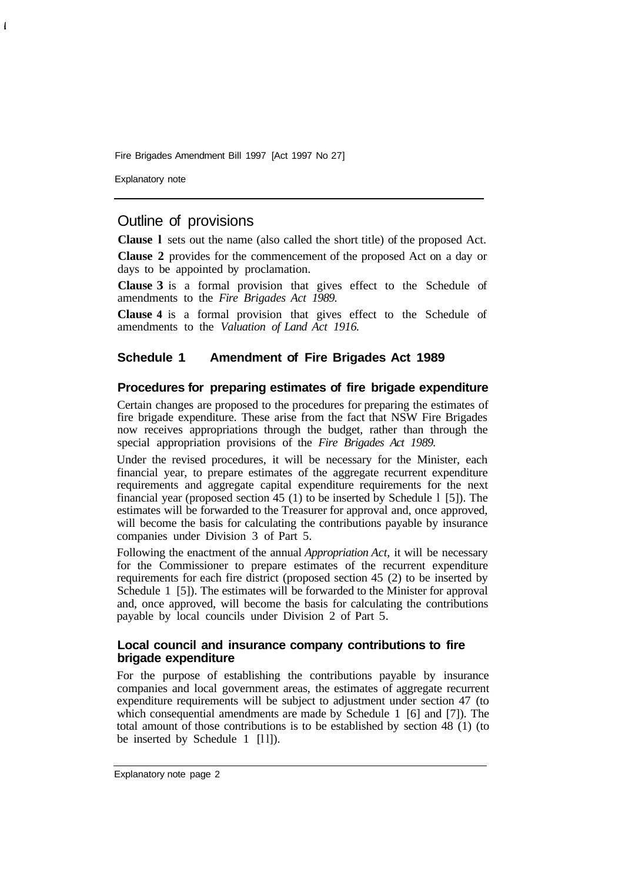Fire Brigades Amendment Bill 1997 [Act 1997 No 27]

Explanatory note

 $\overline{\mathbf{I}}$ 

## Outline of provisions

**Clause l** sets out the name (also called the short title) of the proposed Act.

**Clause 2** provides for the commencement of the proposed Act on a day or days to be appointed by proclamation.

**Clause 3** is a formal provision that gives effect to the Schedule of amendments to the *Fire Brigades Act 1989.* 

**Clause 4** is a formal provision that gives effect to the Schedule of amendments to the *Valuation of Land Act 1916.* 

#### **Schedule 1 Amendment of Fire Brigades Act 1989**

#### **Procedures for preparing estimates of fire brigade expenditure**

Certain changes are proposed to the procedures for preparing the estimates of fire brigade expenditure. These arise from the fact that NSW Fire Brigades now receives appropriations through the budget, rather than through the special appropriation provisions of the *Fire Brigades Act 1989.* 

Under the revised procedures, it will be necessary for the Minister, each financial year, to prepare estimates of the aggregate recurrent expenditure requirements and aggregate capital expenditure requirements for the next financial year (proposed section 45 (1) to be inserted by Schedule l [5]). The estimates will be forwarded to the Treasurer for approval and, once approved, will become the basis for calculating the contributions payable by insurance companies under Division 3 of Part 5.

Following the enactment of the annual *Appropriation Act,* it will be necessary for the Commissioner to prepare estimates of the recurrent expenditure requirements for each fire district (proposed section 45 (2) to be inserted by Schedule 1 [5]). The estimates will be forwarded to the Minister for approval and, once approved, will become the basis for calculating the contributions payable by local councils under Division 2 of Part 5.

#### **Local council and insurance company contributions to fire brigade expenditure**

For the purpose of establishing the contributions payable by insurance companies and local government areas, the estimates of aggregate recurrent expenditure requirements will be subject to adjustment under section 47 (to which consequential amendments are made by Schedule 1 [6] and [7]). The total amount of those contributions is to be established by section 48 (1) (to be inserted by Schedule 1 [11]).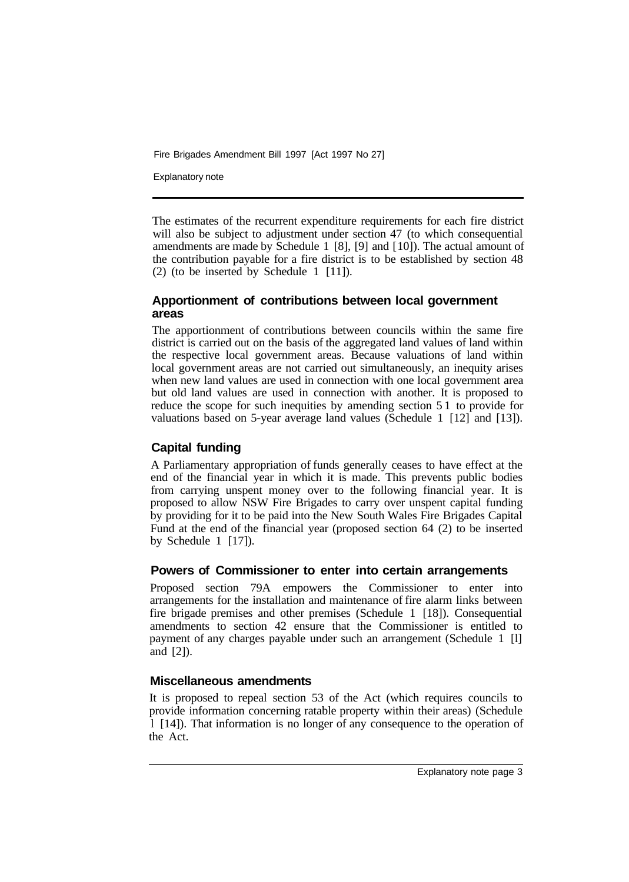Fire Brigades Amendment Bill 1997 [Act 1997 No 27]

Explanatory note

The estimates of the recurrent expenditure requirements for each fire district will also be subject to adjustment under section 47 (to which consequential amendments are made by Schedule 1 [8], [9] and [ 10]). The actual amount of the contribution payable for a fire district is to be established by section 48 (2) (to be inserted by Schedule 1 [11]).

#### **Apportionment of contributions between local government areas**

The apportionment of contributions between councils within the same fire district is carried out on the basis of the aggregated land values of land within the respective local government areas. Because valuations of land within local government areas are not carried out simultaneously, an inequity arises when new land values are used in connection with one local government area but old land values are used in connection with another. It is proposed to reduce the scope for such inequities by amending section 5 1 to provide for valuations based on 5-year average land values (Schedule 1 [12] and [13]).

## **Capital funding**

A Parliamentary appropriation of funds generally ceases to have effect at the end of the financial year in which it is made. This prevents public bodies from carrying unspent money over to the following financial year. It is proposed to allow NSW Fire Brigades to carry over unspent capital funding by providing for it to be paid into the New South Wales Fire Brigades Capital Fund at the end of the financial year (proposed section 64 (2) to be inserted by Schedule 1 [17]).

#### **Powers of Commissioner to enter into certain arrangements**

Proposed section 79A empowers the Commissioner to enter into arrangements for the installation and maintenance of fire alarm links between fire brigade premises and other premises (Schedule 1 [18]). Consequential amendments to section 42 ensure that the Commissioner is entitled to payment of any charges payable under such an arrangement (Schedule 1 [l] and [2]).

#### **Miscellaneous amendments**

It is proposed to repeal section 53 of the Act (which requires councils to provide information concerning ratable property within their areas) (Schedule l [14]). That information is no longer of any consequence to the operation of the Act.